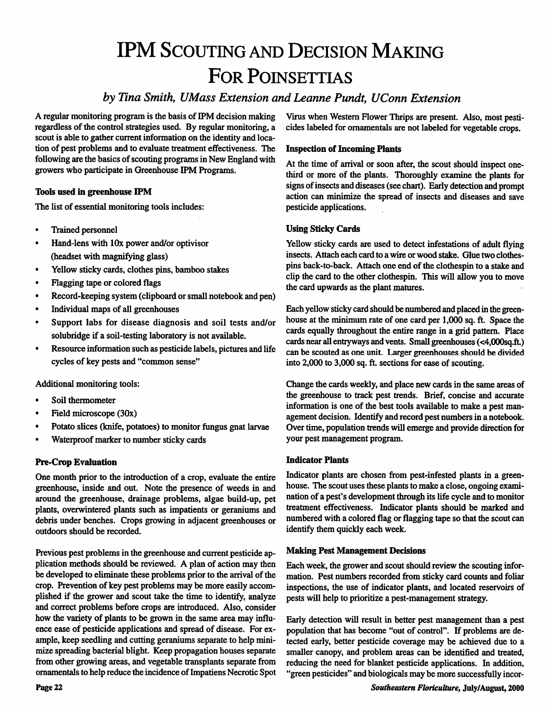# IPM SCOUTING AND DECISION MAKING FOR POINSETTIAS

## *by Tina Smith, UMass Extension and Leanne Pundt, UConn Extension*

**A** regular monitoring program is the basis of IPM decision making regardless of the control strategies used. By regular monitoring, a scout is able to gather current information on the identity and loca tion of pest problems and to evaluate treatment effectiveness. The following are the basics of scouting programs in New England with growers who participate in Greenhouse IPM Programs.

#### *Tools used in greenhouse IPM*

The list of essential monitoring tools includes:

- Trained personnel
- Hand-lens with lOx power and/or optivisor (headset with magnifying glass)
- Yellow sticky cards, clothes pins, bamboo stakes
- Flagging tape or colored flags
- Record-keeping system (clipboard or small notebook and pen)
- Individual maps of all greenhouses
- Support labs for disease diagnosis and soil tests and/or solubridge if a soil-testing laboratory is not available.
- Resource information such as pesticide labels, pictures and life cycles of key pests and "common sense"

Additional monitoring tools:

- Soil thermometer
- Field microscope (30x)
- Potato slices (knife, potatoes) to monitor fungus gnat larvae
- Waterproof marker to number sticky cards

#### *Pre-Crop Evaluation*

One month prior to the introduction of a crop, evaluate the entire greenhouse, inside and out. Note the presence of weeds in and around the greenhouse, drainage problems, algae build-up, pet plants, overwintered plants such as impatients or geraniums and debris under benches. Crops growing in adjacent greenhouses or outdoors should be recorded.

Previous pest problems in the greenhouse and current pesticide ap plication methods should be reviewed. A plan of action may then be developed to eliminate these problems prior to the arrival of the crop. Prevention of key pest problems may be more easily accomplished if the grower and scout take the time to identify, analyze and correct problems before crops are introduced. Also, consider how the variety of plants to be grown in the same area may influ ence ease of pesticide applications and spread of disease. For ex ample, keep seedling and cutting geraniums separate to help mini mize spreading bacterial blight. Keep propagation houses separate from other growing areas, and vegetable transplants separate from ornamentals to help reduce the incidence of Impatiens Necrotic Spot

Virus when Western Flower Thrips are present. Also, most pesticides labeled for ornamentals are not labeled for vegetable crops.

#### *Inspection of Incoming Plants*

At the time of arrival or soon after, the scout should inspect onethird or more of the plants. Thoroughly examine the plants for signs of insects and diseases (see chart). Early detection and prompt action can minimize the spread of insects and diseases and save pesticide applications.

#### Using Sticky *Cards*

Yellow sticky cards are used to detect infestations of adult flying insects. Attach each card to a wire or wood stake. Glue two clothes pins back-to-back. Attach one end of the clothespin to a stake and clip the card to the other clothespin. This will allow you to move the card upwards as the plant matures.

Each yellow sticky card should be numbered and placed in the greenhouse at the minimum rate of one card per 1,000 sq. ft. Space the cards equally throughout the entire range in a grid pattern. Place cards near all entryways and vents. Small greenhouses (<4,000sq.ft.) can be scouted as one unit. Larger greenhouses should be divided into 2,000 to 3,000 sq. ft. sections for ease of scouting.

Change the cards weekly, and place new cards in the same areas of the greenhouse to track pest trends. Brief, concise and accurate information is one of the best tools available to make a pest man agement decision. Identify and record pest numbers in a notebook. Over time, population trends will emerge and provide direction for your pest management program.

#### *Indicator Plants*

Indicator plants are chosen from pest-infested plants in a green house. The scout uses these plants to make a close, ongoing exami nation of a pest's development through its life cycle and to monitor treatment effectiveness. Indicator plants should be marked and numbered with a colored flag or flagging tape so that the scout can identify them quickly each week.

#### *Making Pest Management Decisions*

Each week, the grower and scout should review the scouting infor mation. Pest numbers recorded from sticky card counts and foliar inspections, the use of indicator plants, and located reservoirs of pests will help to prioritize a pest-management strategy.

Early detection will result in better pest management than a pest population that has become "out of control". If problems are de tected early, better pesticide coverage may be achieved due to a smaller canopy, and problem areas can be identified and treated, reducing the need for blanket pesticide applications. In addition, "green pesticides" and biologicals may be more successfully incor-